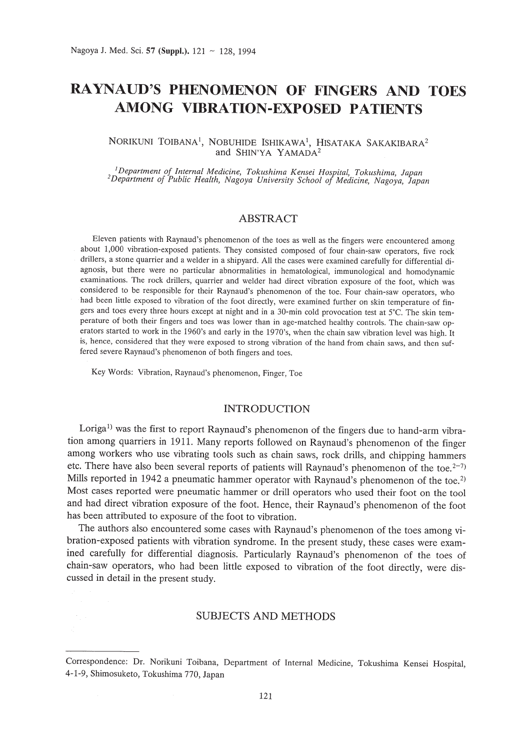# **RAYNAUD'S PHENOMENON OF FINGERS AND TOES AMONG VIBRATION-EXPOSED PATIENTS**

NORIKUNI TOIBANA<sup>1</sup>, NOBUHIDE ISHIKAWA<sup>1</sup>, HISATAKA SAKAKIBARA<sup>2</sup> and SHIN'YA YAMADA<sup>2</sup>

<sup>1</sup>Department of Internal Medicine, Tokushima Kensei Hospital, Tokushima, Japan<br><sup>2</sup>Department of Public Health, Nagoya University School of Medicine, Nagoya, Japan

# ABSTRACT

Eleven patients with Raynaud's phenomenon of the toes as well as the fingers were encountered among about 1,000 vibration-exposed patients. They consisted composed of four chain-saw operators, five rock drillers, a stone quarrier and a welder in a shipyard. All the cases were examined carefully for differential diagnosis, but there were no particular abnormalities in hematological, immunological and homodynamic examinations. The rock drillers, quarrier and welder had direct vibration exposure of the foot, which was considered to be responsible for their Raynaud's phenomenon of the toe. Four chain-saw operators, who had been little exposed to vibration of the foot directly, were examined further on skin temperature of fingers and toes every three hours except at night and in a 30-min cold provocation test at 5°C. The skin temperature of both their fingers and toes was lower than in age-matched healthy controls. The chain-saw operators started to work in the 1960's and early in the 1970's, when the chain saw vibration level was high. It is, hence, considered that they were exposed to strong vibration of the hand from chain saws, and then suffered severe Raynaud's phenomenon of both fingers and toes.

Key Words: Vibration, Raynaud's phenomenon, Finger, Toe

#### INTRODUCTION

Loriga<sup>1)</sup> was the first to report Raynaud's phenomenon of the fingers due to hand-arm vibration among quarriers in 1911. Many reports followed on Raynaud's phenomenon of the finger among workers who use vibrating tools such as chain saws, rock drills, and chipping hammers etc. There have also been several reports of patients will Raynaud's phenomenon of the toe.<sup>2-7)</sup> Mills reported in 1942 a pneumatic hammer operator with Raynaud's phenomenon of the toe.<sup>2)</sup> Most cases reported were pneumatic hammer or drill operators who used their foot on the tool and had direct vibration exposure of the foot. Hence, their Raynaud's phenomenon of the foot has been attributed to exposure of the foot to vibration.

The authors also encountered some cases with Raynaud's phenomenon of the toes among vibration-exposed patients with vibration syndrome. In the present study, these cases were examined carefully for differential diagnosis. Particularly Raynaud's phenomenon of the toes of chain-saw operators, who had been little exposed to vibration of the foot directly, were discussed in detail in the present study.

## SUBJECTS AND METHODS

Correspondence: Dr. Norikuni Toibana, Department of Internal Medicine, Tokushima Kensei Hospital, 4-1-9, Shimosuketo, Tokushima 770, Japan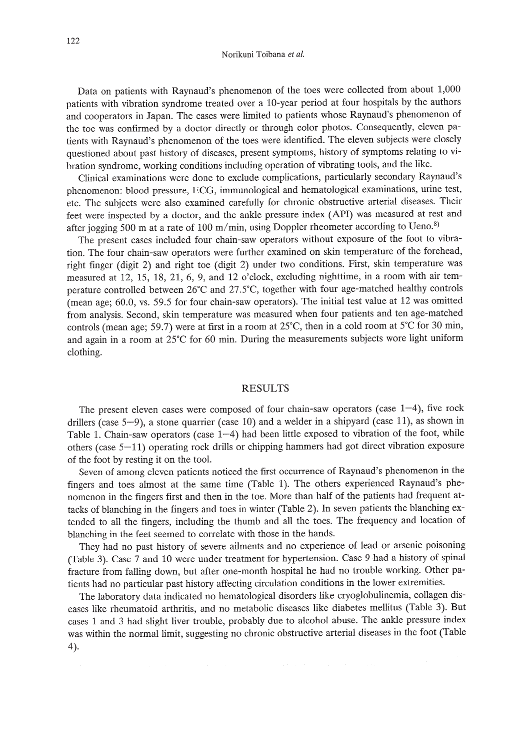Norikuni Toibana *et al.*

Data on patients with Raynaud's phenomenon of the toes were collected from about 1,000 patients with vibration syndrome treated over a lO-year period at four hospitals by the authors and cooperators in Japan. The cases were limited to patients whose Raynaud's phenomenon of the toe was confirmed by a doctor directly or through color photos. Consequently, eleven patients with Raynaud's phenomenon of the toes were identified. The eleven subjects were closely questioned about past history of diseases, present symptoms, history of symptoms relating to vibration syndrome, working conditions including operation of vibrating tools, and the like.

Clinical examinations were done to exclude complications, particularly secondary Raynaud's phenomenon: blood pressure, ECG, immunological and hematological examinations, urine test, etc. The subjects were also examined carefully for chronic obstructive arterial diseases. Their feet were inspected by a doctor, and the ankle pressure index (API) was measured at rest and after jogging 500 m at a rate of 100 m/min, using Doppler rheometer according to Ueno.<sup>8)</sup>

The present cases included four chain-saw operators without exposure of the foot to vibration. The four chain-saw operators were further examined on skin temperature of the forehead, right finger (digit 2) and right toe (digit 2) under two conditions. First, skin temperature was measured at 12, 15, 18, 21, 6, 9, and 12 o'clock, excluding nighttime, in a room with air temperature controlled between  $26^{\circ}\text{C}$  and  $27.5^{\circ}\text{C}$ , together with four age-matched healthy controls (mean age; 60.0, vs. 59.5 for four chain-saw operators). The initial test value at 12 was omitted from analysis. Second, skin temperature was measured when four patients and ten age-matched controls (mean age; 59.7) were at first in a room at  $25^{\circ}$ C, then in a cold room at  $5^{\circ}$ C for 30 min, and again in a room at  $25^{\circ}$ C for 60 min. During the measurements subjects wore light uniform clothing.

#### RESULTS

The present eleven cases were composed of four chain-saw operators (case  $1-4$ ), five rock drillers (case 5-9), a stone quarrier (case 10) and a welder in a shipyard (case 11), as shown in Table 1. Chain-saw operators (case  $1-4$ ) had been little exposed to vibration of the foot, while others (case 5-11) operating rock drills or chipping hammers had got direct vibration exposure of the foot by resting it on the tool.

Seven of among eleven patients noticed the first occurrence of Raynaud's phenomenon in the fingers and toes almost at the same time (Table 1). The others experienced Raynaud's phenomenon in the fingers first and then in the toe. More than half of the patients had frequent attacks of blanching in the fingers and toes in winter (Table 2). **In** seven patients the blanching extended to all the fingers, including the thumb and all the toes. The frequency and location of blanching in the feet seemed to correlate with those in the hands.

They had no past history of severe ailments and no experience of lead or arsenic poisoning (Table 3). Case 7 and 10 were under treatment for hypertension. Case 9 had a history of spinal fracture from falling down, but after one-month hospital he had no trouble working. Other patients had no particular past history affecting circulation conditions in the lower extremities.

The laboratory data indicated no hematological disorders like cryoglobulinemia, collagen diseases like rheumatoid arthritis, and no metabolic diseases like diabetes mellitus (Table 3). But cases 1 and 3 had slight liver trouble, probably due to alcohol abuse. The ankle pressure index was within the normal limit, suggesting no chronic obstructive arterial diseases in the foot (Table 4).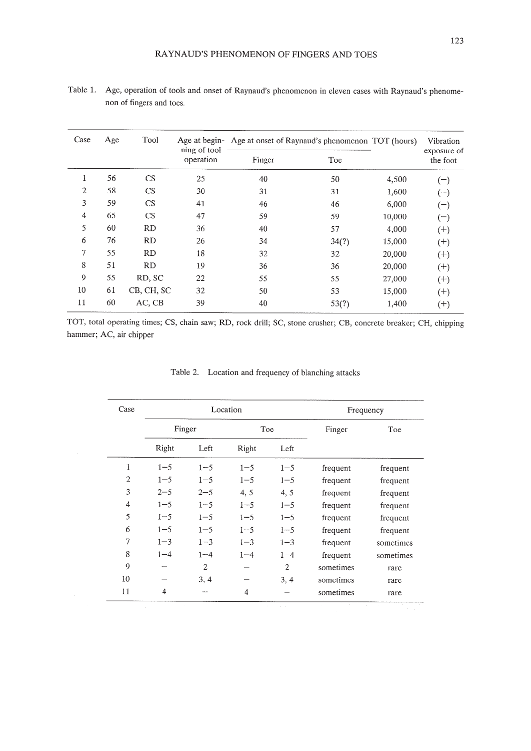| Case           | Age | Tool       | ning of tool<br>operation | Age at begin- Age at onset of Raynaud's phenomenon TOT (hours) |       | Vibration |                         |
|----------------|-----|------------|---------------------------|----------------------------------------------------------------|-------|-----------|-------------------------|
|                |     |            |                           | Finger                                                         | Toe   |           | exposure of<br>the foot |
| 1              | 56  | <b>CS</b>  | 25                        | 40                                                             | 50    | 4,500     | $(-)$                   |
| $\overline{2}$ | 58  | CS         | 30                        | 31                                                             | 31    | 1,600     | (一)                     |
| 3              | 59  | <b>CS</b>  | 41                        | 46                                                             | 46    | 6,000     | $(-)$                   |
| 4              | 65  | CS         | 47                        | 59                                                             | 59    | 10,000    | $(-)$                   |
| 5              | 60  | <b>RD</b>  | 36                        | 40                                                             | 57    | 4,000     | $(+)$                   |
| 6              | 76  | <b>RD</b>  | 26                        | 34                                                             | 34(?) | 15,000    | $(+)$                   |
| $\tau$         | 55  | <b>RD</b>  | 18                        | 32                                                             | 32    | 20,000    | $(+)$                   |
| 8              | 51  | <b>RD</b>  | 19                        | 36                                                             | 36    | 20,000    | $^{(+)}$                |
| 9              | 55  | RD, SC     | 22                        | 55                                                             | 55    | 27,000    | $(+)$                   |
| 10             | 61  | CB, CH, SC | 32                        | 50                                                             | 53    | 15,000    | $(+)$                   |
| 11             | 60  | AC, CB     | 39                        | 40                                                             | 53(?) | 1,400     | $^{(+)}$                |

Table 1. Age, operation of tools and onset of Raynaud's phenomenon in eleven cases with Raynaud's phenomenon of fingers and toes.

TOT, total operating times; CS, chain saw; RD, rock drill; SC, stone crusher; CB, concrete breaker; CH, chipping hammer; AC, air chipper

| Finger<br>Right<br>$1 - 5$<br>$1 - 5$ | Left<br>Right<br>$1 - 5$<br>$1 - 5$<br>$1 - 5$<br>$1 - 5$ | Toe<br>Left<br>$1 - 5$            | Finger<br>frequent | Toe                                                                                  |
|---------------------------------------|-----------------------------------------------------------|-----------------------------------|--------------------|--------------------------------------------------------------------------------------|
|                                       |                                                           |                                   |                    |                                                                                      |
|                                       |                                                           |                                   |                    |                                                                                      |
|                                       |                                                           |                                   |                    | frequent                                                                             |
|                                       |                                                           | $1 - 5$                           | frequent           | frequent                                                                             |
| $2 - 5$                               | $2 - 5$<br>4, 5                                           | 4, 5                              | frequent           | frequent                                                                             |
| $1 - 5$                               | $1 - 5$<br>$1 - 5$                                        | $1 - 5$                           | frequent           | frequent                                                                             |
| $1 - 5$                               | $1 - 5$<br>$1 - 5$                                        | $1 - 5$                           | frequent           | frequent                                                                             |
| $1 - 5$                               | $1 - 5$<br>$1 - 5$                                        | $1 - 5$                           | frequent           | frequent                                                                             |
| $1 - 3$                               | $1 - 3$<br>$1 - 3$                                        | $1 - 3$                           | frequent           | sometimes                                                                            |
|                                       |                                                           |                                   |                    | sometimes                                                                            |
|                                       |                                                           |                                   |                    | rare                                                                                 |
|                                       |                                                           |                                   |                    | rare                                                                                 |
|                                       | 4                                                         |                                   |                    | rare                                                                                 |
|                                       | $1 - 4$<br>$\overline{4}$                                 | $1 - 4$<br>$\overline{2}$<br>3, 4 | $1 - 4$            | $1 - 4$<br>frequent<br>$\overline{2}$<br>sometimes<br>3, 4<br>sometimes<br>sometimes |

Table 2. Location and frequency of blanching attacks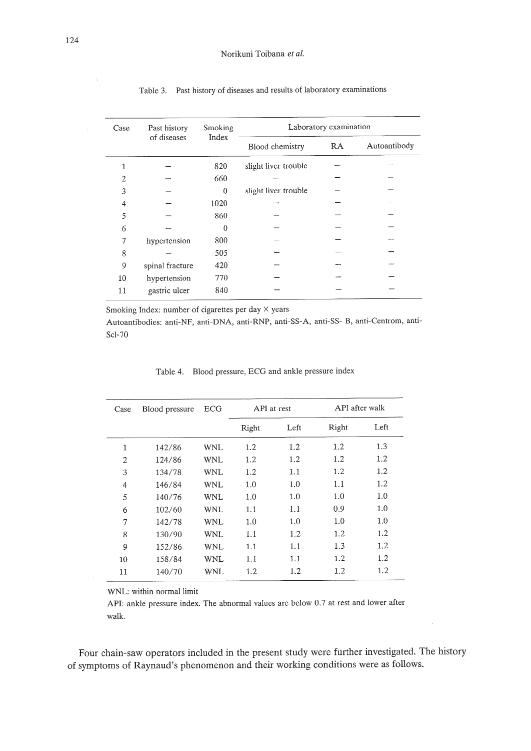| Case | Past history<br>of diseases | Smoking<br>Index | Laboratory examination |    |              |  |  |
|------|-----------------------------|------------------|------------------------|----|--------------|--|--|
|      |                             |                  | Blood chemistry        | RA | Autoantibody |  |  |
|      |                             |                  | slight liver trouble   |    |              |  |  |
| 2    |                             | 660              |                        |    |              |  |  |
| 3    |                             | $\theta$         | slight liver trouble   |    |              |  |  |
| 4    |                             | 1020             |                        |    |              |  |  |
| 5    |                             | 860              |                        |    |              |  |  |
| 6    |                             | 0                |                        |    |              |  |  |
| 7    | hypertension                | 800              |                        |    |              |  |  |
| 8    |                             | 505              |                        |    |              |  |  |
| 9    | spinal fracture             | 420              |                        |    |              |  |  |
| 10   | hypertension                | 770              |                        |    |              |  |  |
| 11   | gastric ulcer               | 840              |                        |    |              |  |  |

Table 3. Past history of diseases and results of laboratory examinations

Smoking Index: number of cigarettes per day  $\times$  years

Autoantibodies: anti-NF, anti-DNA, anti-RNP, anti-SS-A, anti-SS- B, anti-Centrom, anti-Scl-70

| Case   | Blood pressure | ECG        | API at rest |         | API after walk |      |
|--------|----------------|------------|-------------|---------|----------------|------|
|        |                |            | Right       | Left    | Right          | Left |
| 1      | 142/86         | WNL        | 1.2         | 1.2     | 1.2            | 1.3  |
| 2      | 124/86         | <b>WNL</b> | 1.2         | $1.2\,$ | $1.2\,$        | 1.2  |
| 3      | 134/78         | <b>WNL</b> | 1.2         | 1.1     | 1.2            | 1.2  |
| 4      | 146/84         | WNL        | 1.0         | 1.0     | 1.1            | 1.2  |
| 5      | 140/76         | WNL        | 1.0         | 1.0     | 1.0            | 1.0  |
| 6      | 102/60         | WNL        | 1.1         | 1.1     | 0.9            | 1.0  |
| $\tau$ | 142/78         | <b>WNL</b> | 1.0         | 1.0     | 1.0            | 1.0  |
| 8      | 130/90         | WNL        | 1.1         | 1.2     | 1.2            | 1.2  |
| 9      | 152/86         | WNL        | 1.1         | 1.1     | 1.3            | 1.2  |
| 10     | 158/84         | <b>WNL</b> | 1.1         | 1.1     | 1.2            | 1.2  |
| 11     | 140/70         | WNL        | 1.2         | 1.2     | 1.2            | 1.2  |

Table 4. Blood pressure, ECG and ankle pressure index

WNL: within normal limit

API: ankle pressure index. The abnormal values are below 0.7 at rest and lower after walk.

Four chain-saw operators included in the present study were further investigated. The history of symptoms of Raynaud's phenomenon and their working conditions were as follows.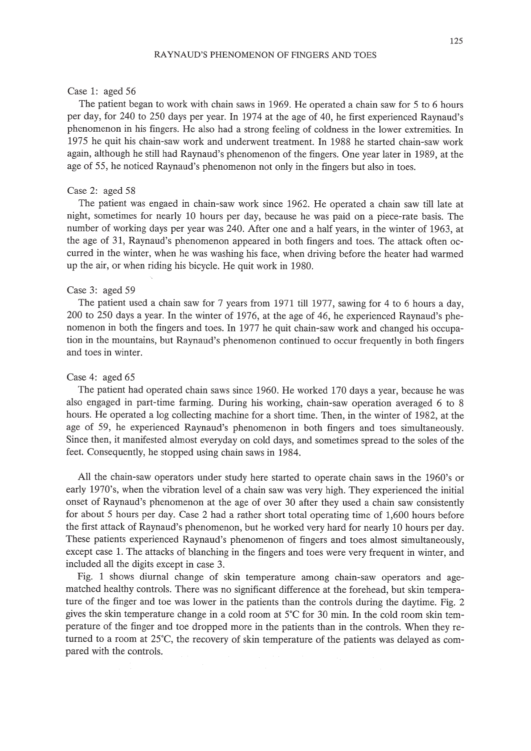#### RAYNAUD'S PHENOMENON OF FINGERS AND TOES

125

## Case 1: aged 56

The patient began to work with chain saws in 1969. He operated a chain saw for 5 to 6 hours per day, for 240 to 250 days per year. In 1974 at the age of 40, he first experienced Raynaud's phenomenon in his fingers. He also had a strong feeling of coldness in the lower extremities. In 1975 he quit his chain-saw work and underwent treatment. In 1988 he started chain-saw work again, although he still had Raynaud's phenomenon of the fingers. One year later in 1989, at the age of 55, he noticed Raynaud's phenomenon not only in the fingers but also in toes.

## Case 2: aged 58

The patient was engaed in chain-saw work since 1962. He operated a chain saw till late at night, sometimes for nearly 10 hours per day, because he was paid on a piece-rate basis. The number of working days per year was 240. After one and a half years, in the winter of 1963, at the age of 31, Raynaud's phenomenon appeared in both fingers and toes. The attack often occurred in the winter, when he was washing his face, when driving before the heater had warmed up the air, or when riding his bicycle. He quit work in 1980.

#### Case 3: aged 59

The patient used a chain saw for 7 years from 1971 till 1977, sawing for 4 to 6 hours a day, 200 to 250 days a year. In the winter of 1976, at the age of 46, he experienced Raynaud's phenomenon in both the fingers and toes. In 1977 he quit chain-saw work and changed his occupation in the mountains, but Raynaud's phenomenon continued to occur frequently in both fingers and toes in winter.

## Case 4: aged 65

The patient had operated chain saws since 1960. He worked 170 days a year, because he was also engaged in part-time farming. During his working, chain-saw operation averaged 6 to 8 hours. He operated a log collecting machine for a short time. Then, in the winter of 1982, at the age of 59, he experienced Raynaud's phenomenon in both fingers and toes simultaneously. Since then, it manifested almost everyday on cold days, and sometimes spread to the soles of the feet. Consequently, he stopped using chain saws in 1984.

All the chain-saw operators under study here started to operate chain saws in the 1960's or early 1970's, when the vibration level of a chain saw was very high. They experienced the initial onset of Raynaud's phenomenon at the age of over 30 after they used a chain saw consistently for about 5 hours per day. Case 2 had a rather short total operating time of 1,600 hours before the first attack of Raynaud's phenomenon, but he worked very hard for nearly 10 hours per day. These patients experienced Raynaud's phenomenon of fingers and toes almost simultaneously, except case 1. The attacks of blanching in the fingers and toes were very frequent in winter, and included all the digits except in case 3.

Fig. 1 shows diurnal change of skin temperature among chain-saw operators and agematched healthy controls. There was no significant difference at the forehead, but skin temperature of the finger and toe was lower in the patients than the controls during the daytime. Fig. 2 gives the skin temperature change in a cold room at  $5^{\circ}$ C for 30 min. In the cold room skin temperature of the finger and toe dropped more in the patients than in the controls. When they returned to a room at  $25^{\circ}$ C, the recovery of skin temperature of the patients was delayed as compared with the controls.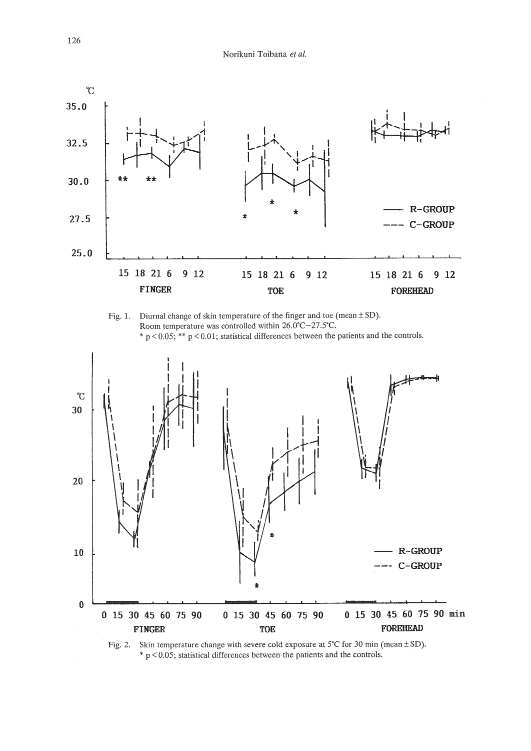

Fig. 1. Diurnal change of skin temperature of the finger and toe (mean  $\pm$  SD). Room temperature was controlled within *26.0·C-27SC.*  $*$  p < 0.05;  $**$  p < 0.01; statistical differences between the patients and the controls.



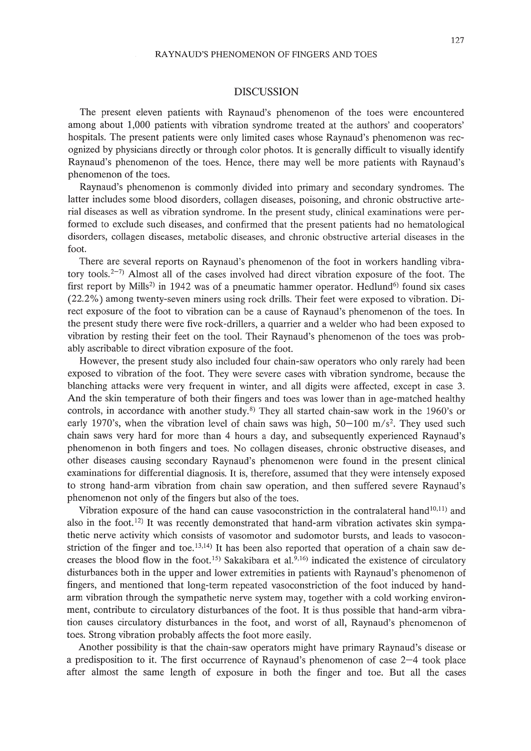# DISCUSSION

The present eleven patients with Raynaud's phenomenon of the toes were encountered among about 1,000 patients with vibration syndrome treated at the authors' and cooperators' hospitals. The present patients were only limited cases whose Raynaud's phenomenon was recognized by physicians directly or through color photos. It is generally difficult to visually identify Raynaud's phenomenon of the toes. Hence, there may well be more patients with Raynaud's phenomenon of the toes.

Raynaud's phenomenon is commonly divided into primary and secondary syndromes. The latter includes some blood disorders, collagen diseases, poisoning, and chronic obstructive arterial diseases as well as vibration syndrome. In the present study, clinical examinations were performed to exclude such diseases, and confirmed that the present patients had no hematological disorders, collagen diseases, metabolic diseases, and chronic obstructive arterial diseases in the foot.

There are several reports on Raynaud's phenomenon of the foot in workers handling vibratory tools.<sup>2-7)</sup> Almost all of the cases involved had direct vibration exposure of the foot. The first report by Mills<sup>2)</sup> in 1942 was of a pneumatic hammer operator. Hedlund<sup>6)</sup> found six cases (22.2%) among twenty-seven miners using rock drills. Their feet were exposed to vibration. Direct exposure of the foot to vibration can be a cause of Raynaud's phenomenon of the toes. In the present study there were five rock-drillers, a quarrier and a welder who had been exposed to vibration by resting their feet on the tool. Their Raynaud's phenomenon of the toes was probably ascribable to direct vibration exposure of the foot.

However, the present study also included four chain-saw operators who only rarely had been exposed to vibration of the foot. They were severe cases with vibration syndrome, because the blanching attacks were very frequent in winter, and all digits were affected, except in case 3. And the skin temperature of both their fingers and toes was lower than in age-matched healthy controls, in accordance with another study.<sup>8)</sup> They all started chain-saw work in the 1960's or early 1970's, when the vibration level of chain saws was high,  $50-100$  m/s<sup>2</sup>. They used such chain saws very hard for more than 4 hours a day, and subsequently experienced Raynaud's phenomenon in both fingers and toes. No collagen diseases, chronic obstructive diseases, and other diseases causing secondary Raynaud's phenomenon were found in the present clinical examinations for differential diagnosis. It is, therefore, assumed that they were intensely exposed to strong hand-arm vibration from chain saw operation, and then suffered severe Raynaud's phenomenon not only of the fingers but also of the toes.

Vibration exposure of the hand can cause vasoconstriction in the contralateral hand<sup>10,11</sup>) and also in the foot.<sup>12)</sup> It was recently demonstrated that hand-arm vibration activates skin sympathetic nerve activity which consists of vasomotor and sudomotor bursts, and leads to vasoconstriction of the finger and toe.<sup>13,14</sup>) It has been also reported that operation of a chain saw decreases the blood flow in the foot.<sup>15</sup> Sakakibara et al.<sup>9,16</sup> indicated the existence of circulatory disturbances both in the upper and lower extremities in patients with Raynaud's phenomenon of fingers, and mentioned that long-term repeated vasoconstriction of the foot induced by handarm vibration through the sympathetic nerve system may, together with a cold working environment, contribute to circulatory disturbances of the foot. It is thus possible that hand-arm vibration causes circulatory disturbances in the foot, and worst of all, Raynaud's phenomenon of toes. Strong vibration probably affects the foot more easily.

Another possibility is that the chain-saw operators might have primary Raynaud's disease or a predisposition to it. The first occurrence of Raynaud's phenomenon of case 2-4 took place after almost the same length of exposure in both the finger and toe. But all the cases